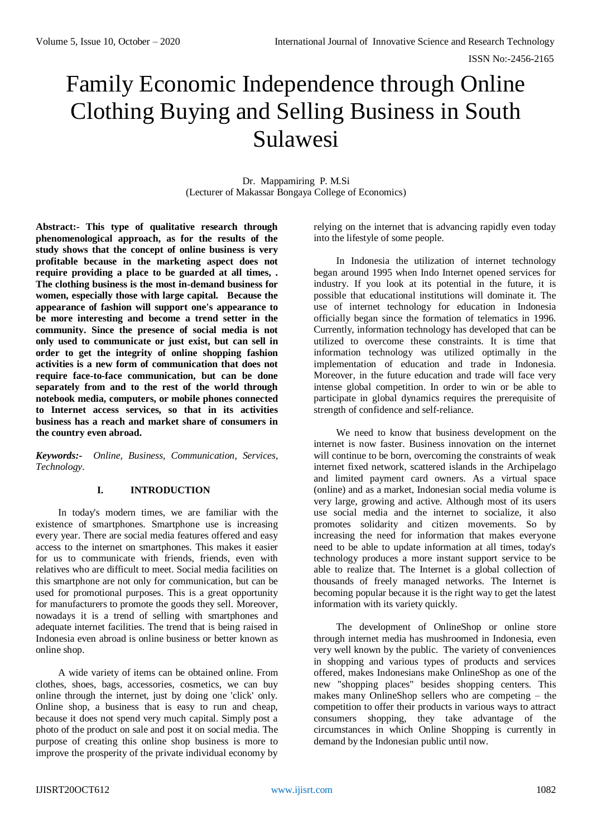# Family Economic Independence through Online Clothing Buying and Selling Business in South Sulawesi

Dr. Mappamiring P. M.Si (Lecturer of Makassar Bongaya College of Economics)

**Abstract:- This type of qualitative research through phenomenological approach, as for the results of the study shows that the concept of online business is very profitable because in the marketing aspect does not require providing a place to be guarded at all times, . The clothing business is the most in-demand business for women, especially those with large capital. Because the appearance of fashion will support one's appearance to be more interesting and become a trend setter in the community. Since the presence of social media is not only used to communicate or just exist, but can sell in order to get the integrity of online shopping fashion activities is a new form of communication that does not require face-to-face communication, but can be done separately from and to the rest of the world through notebook media, computers, or mobile phones connected to Internet access services, so that in its activities business has a reach and market share of consumers in the country even abroad.**

*Keywords:- Online, Business, Communication, Services, Technology.*

# **I. INTRODUCTION**

In today's modern times, we are familiar with the existence of smartphones. Smartphone use is increasing every year. There are social media features offered and easy access to the internet on smartphones. This makes it easier for us to communicate with friends, friends, even with relatives who are difficult to meet. Social media facilities on this smartphone are not only for communication, but can be used for promotional purposes. This is a great opportunity for manufacturers to promote the goods they sell. Moreover, nowadays it is a trend of selling with smartphones and adequate internet facilities. The trend that is being raised in Indonesia even abroad is online business or better known as online shop.

A wide variety of items can be obtained online. From clothes, shoes, bags, accessories, cosmetics, we can buy online through the internet, just by doing one 'click' only. Online shop, a business that is easy to run and cheap, because it does not spend very much capital. Simply post a photo of the product on sale and post it on social media. The purpose of creating this online shop business is more to improve the prosperity of the private individual economy by

relying on the internet that is advancing rapidly even today into the lifestyle of some people.

In Indonesia the utilization of internet technology began around 1995 when Indo Internet opened services for industry. If you look at its potential in the future, it is possible that educational institutions will dominate it. The use of internet technology for education in Indonesia officially began since the formation of telematics in 1996. Currently, information technology has developed that can be utilized to overcome these constraints. It is time that information technology was utilized optimally in the implementation of education and trade in Indonesia. Moreover, in the future education and trade will face very intense global competition. In order to win or be able to participate in global dynamics requires the prerequisite of strength of confidence and self-reliance.

We need to know that business development on the internet is now faster. Business innovation on the internet will continue to be born, overcoming the constraints of weak internet fixed network, scattered islands in the Archipelago and limited payment card owners. As a virtual space (online) and as a market, Indonesian social media volume is very large, growing and active. Although most of its users use social media and the internet to socialize, it also promotes solidarity and citizen movements. So by increasing the need for information that makes everyone need to be able to update information at all times, today's technology produces a more instant support service to be able to realize that. The Internet is a global collection of thousands of freely managed networks. The Internet is becoming popular because it is the right way to get the latest information with its variety quickly.

The development of OnlineShop or online store through internet media has mushroomed in Indonesia, even very well known by the public. The variety of conveniences in shopping and various types of products and services offered, makes Indonesians make OnlineShop as one of the new "shopping places" besides shopping centers. This makes many OnlineShop sellers who are competing – the competition to offer their products in various ways to attract consumers shopping, they take advantage of the circumstances in which Online Shopping is currently in demand by the Indonesian public until now.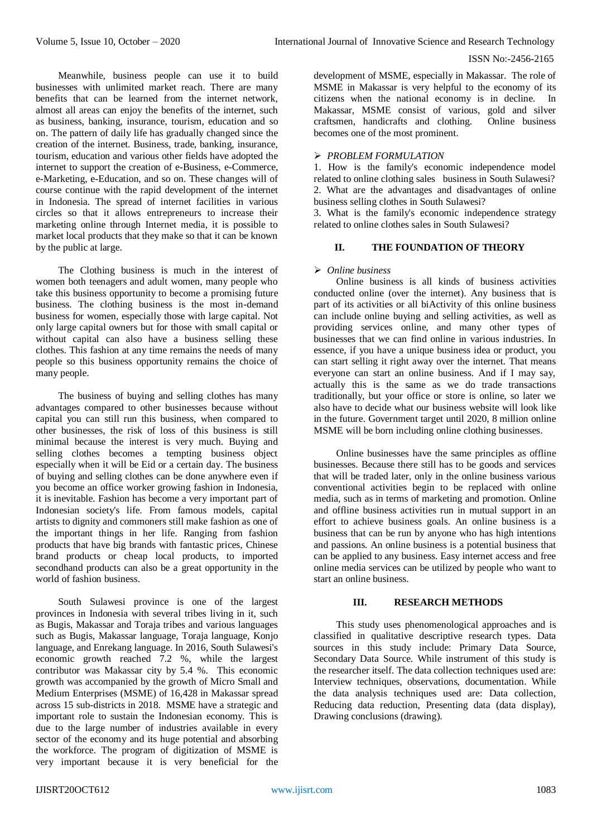Meanwhile, business people can use it to build businesses with unlimited market reach. There are many benefits that can be learned from the internet network, almost all areas can enjoy the benefits of the internet, such as business, banking, insurance, tourism, education and so on. The pattern of daily life has gradually changed since the creation of the internet. Business, trade, banking, insurance, tourism, education and various other fields have adopted the internet to support the creation of e-Business, e-Commerce, e-Marketing, e-Education, and so on. These changes will of course continue with the rapid development of the internet in Indonesia. The spread of internet facilities in various circles so that it allows entrepreneurs to increase their marketing online through Internet media, it is possible to market local products that they make so that it can be known by the public at large.

The Clothing business is much in the interest of women both teenagers and adult women, many people who take this business opportunity to become a promising future business. The clothing business is the most in-demand business for women, especially those with large capital. Not only large capital owners but for those with small capital or without capital can also have a business selling these clothes. This fashion at any time remains the needs of many people so this business opportunity remains the choice of many people.

The business of buying and selling clothes has many advantages compared to other businesses because without capital you can still run this business, when compared to other businesses, the risk of loss of this business is still minimal because the interest is very much. Buying and selling clothes becomes a tempting business object especially when it will be Eid or a certain day. The business of buying and selling clothes can be done anywhere even if you become an office worker growing fashion in Indonesia, it is inevitable. Fashion has become a very important part of Indonesian society's life. From famous models, capital artists to dignity and commoners still make fashion as one of the important things in her life. Ranging from fashion products that have big brands with fantastic prices, Chinese brand products or cheap local products, to imported secondhand products can also be a great opportunity in the world of fashion business.

South Sulawesi province is one of the largest provinces in Indonesia with several tribes living in it, such as Bugis, Makassar and Toraja tribes and various languages such as Bugis, Makassar language, Toraja language, Konjo language, and Enrekang language. In 2016, South Sulawesi's economic growth reached 7.2 %, while the largest contributor was Makassar city by 5.4 %. This economic growth was accompanied by the growth of Micro Small and Medium Enterprises (MSME) of 16,428 in Makassar spread across 15 sub-districts in 2018. MSME have a strategic and important role to sustain the Indonesian economy. This is due to the large number of industries available in every sector of the economy and its huge potential and absorbing the workforce. The program of digitization of MSME is very important because it is very beneficial for the

development of MSME, especially in Makassar. The role of MSME in Makassar is very helpful to the economy of its citizens when the national economy is in decline. In Makassar, MSME consist of various, gold and silver craftsmen, handicrafts and clothing. Online business becomes one of the most prominent.

## *PROBLEM FORMULATION*

1. How is the family's economic independence model related to online clothing sales business in South Sulawesi? 2. What are the advantages and disadvantages of online business selling clothes in South Sulawesi?

3. What is the family's economic independence strategy related to online clothes sales in South Sulawesi?

# **II. THE FOUNDATION OF THEORY**

#### *Online business*

Online business is all kinds of business activities conducted online (over the internet). Any business that is part of its activities or all biActivity of this online business can include online buying and selling activities, as well as providing services online, and many other types of businesses that we can find online in various industries. In essence, if you have a unique business idea or product, you can start selling it right away over the internet. That means everyone can start an online business. And if I may say, actually this is the same as we do trade transactions traditionally, but your office or store is online, so later we also have to decide what our business website will look like in the future. Government target until 2020, 8 million online MSME will be born including online clothing businesses.

Online businesses have the same principles as offline businesses. Because there still has to be goods and services that will be traded later, only in the online business various conventional activities begin to be replaced with online media, such as in terms of marketing and promotion. Online and offline business activities run in mutual support in an effort to achieve business goals. An online business is a business that can be run by anyone who has high intentions and passions. An online business is a potential business that can be applied to any business. Easy internet access and free online media services can be utilized by people who want to start an online business.

## **III. RESEARCH METHODS**

This study uses phenomenological approaches and is classified in qualitative descriptive research types. Data sources in this study include: Primary Data Source, Secondary Data Source. While instrument of this study is the researcher itself. The data collection techniques used are: Interview techniques, observations, documentation. While the data analysis techniques used are: Data collection, Reducing data reduction, Presenting data (data display), Drawing conclusions (drawing).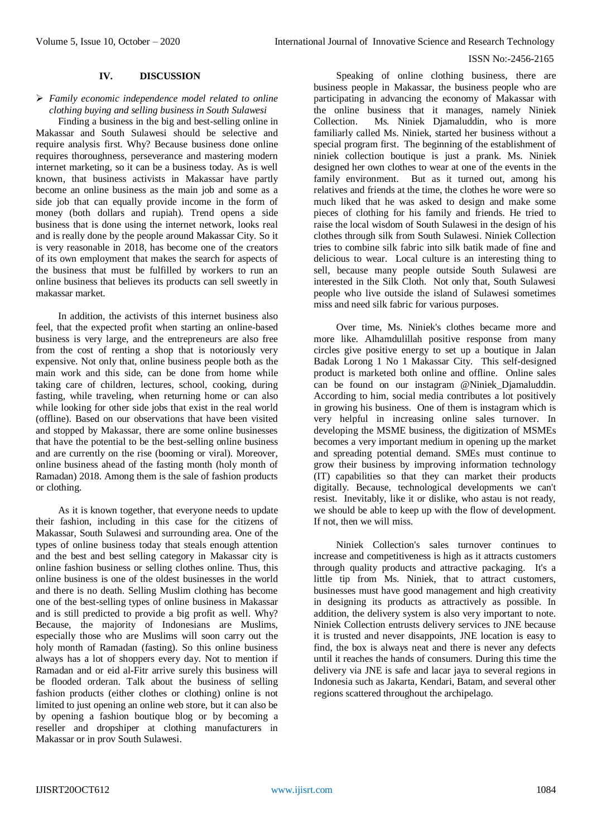#### **IV. DISCUSSION**

# *Family economic independence model related to online clothing buying and selling business in South Sulawesi*

Finding a business in the big and best-selling online in Makassar and South Sulawesi should be selective and require analysis first. Why? Because business done online requires thoroughness, perseverance and mastering modern internet marketing, so it can be a business today. As is well known, that business activists in Makassar have partly become an online business as the main job and some as a side job that can equally provide income in the form of money (both dollars and rupiah). Trend opens a side business that is done using the internet network, looks real and is really done by the people around Makassar City. So it is very reasonable in 2018, has become one of the creators of its own employment that makes the search for aspects of the business that must be fulfilled by workers to run an online business that believes its products can sell sweetly in makassar market.

In addition, the activists of this internet business also feel, that the expected profit when starting an online-based business is very large, and the entrepreneurs are also free from the cost of renting a shop that is notoriously very expensive. Not only that, online business people both as the main work and this side, can be done from home while taking care of children, lectures, school, cooking, during fasting, while traveling, when returning home or can also while looking for other side jobs that exist in the real world (offline). Based on our observations that have been visited and stopped by Makassar, there are some online businesses that have the potential to be the best-selling online business and are currently on the rise (booming or viral). Moreover, online business ahead of the fasting month (holy month of Ramadan) 2018. Among them is the sale of fashion products or clothing.

As it is known together, that everyone needs to update their fashion, including in this case for the citizens of Makassar, South Sulawesi and surrounding area. One of the types of online business today that steals enough attention and the best and best selling category in Makassar city is online fashion business or selling clothes online. Thus, this online business is one of the oldest businesses in the world and there is no death. Selling Muslim clothing has become one of the best-selling types of online business in Makassar and is still predicted to provide a big profit as well. Why? Because, the majority of Indonesians are Muslims, especially those who are Muslims will soon carry out the holy month of Ramadan (fasting). So this online business always has a lot of shoppers every day. Not to mention if Ramadan and or eid al-Fitr arrive surely this business will be flooded orderan. Talk about the business of selling fashion products (either clothes or clothing) online is not limited to just opening an online web store, but it can also be by opening a fashion boutique blog or by becoming a reseller and dropshiper at clothing manufacturers in Makassar or in prov South Sulawesi.

Speaking of online clothing business, there are business people in Makassar, the business people who are participating in advancing the economy of Makassar with the online business that it manages, namely Niniek Collection. Ms. Niniek Djamaluddin, who is more familiarly called Ms. Niniek, started her business without a special program first. The beginning of the establishment of niniek collection boutique is just a prank. Ms. Niniek designed her own clothes to wear at one of the events in the family environment. But as it turned out, among his relatives and friends at the time, the clothes he wore were so much liked that he was asked to design and make some pieces of clothing for his family and friends. He tried to raise the local wisdom of South Sulawesi in the design of his clothes through silk from South Sulawesi. Niniek Collection tries to combine silk fabric into silk batik made of fine and delicious to wear. Local culture is an interesting thing to sell, because many people outside South Sulawesi are interested in the Silk Cloth. Not only that, South Sulawesi people who live outside the island of Sulawesi sometimes miss and need silk fabric for various purposes.

Over time, Ms. Niniek's clothes became more and more like. Alhamdulillah positive response from many circles give positive energy to set up a boutique in Jalan Badak Lorong 1 No 1 Makassar City. This self-designed product is marketed both online and offline. Online sales can be found on our instagram @Niniek\_Djamaluddin. According to him, social media contributes a lot positively in growing his business. One of them is instagram which is very helpful in increasing online sales turnover. In developing the MSME business, the digitization of MSMEs becomes a very important medium in opening up the market and spreading potential demand. SMEs must continue to grow their business by improving information technology (IT) capabilities so that they can market their products digitally. Because, technological developments we can't resist. Inevitably, like it or dislike, who astau is not ready, we should be able to keep up with the flow of development. If not, then we will miss.

Niniek Collection's sales turnover continues to increase and competitiveness is high as it attracts customers through quality products and attractive packaging. It's a little tip from Ms. Niniek, that to attract customers, businesses must have good management and high creativity in designing its products as attractively as possible. In addition, the delivery system is also very important to note. Niniek Collection entrusts delivery services to JNE because it is trusted and never disappoints, JNE location is easy to find, the box is always neat and there is never any defects until it reaches the hands of consumers. During this time the delivery via JNE is safe and lacar jaya to several regions in Indonesia such as Jakarta, Kendari, Batam, and several other regions scattered throughout the archipelago.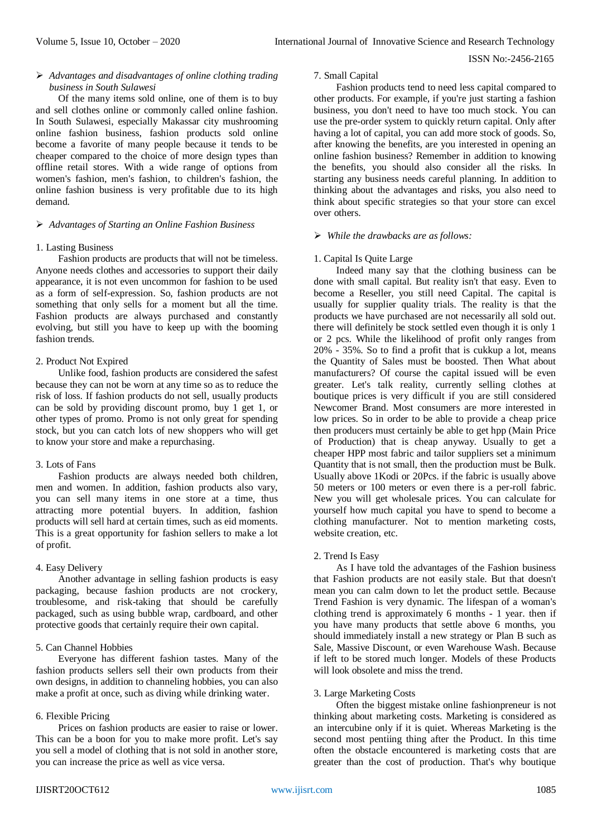# *Advantages and disadvantages of online clothing trading business in South Sulawesi*

Of the many items sold online, one of them is to buy and sell clothes online or commonly called online fashion. In South Sulawesi, especially Makassar city mushrooming online fashion business, fashion products sold online become a favorite of many people because it tends to be cheaper compared to the choice of more design types than offline retail stores. With a wide range of options from women's fashion, men's fashion, to children's fashion, the online fashion business is very profitable due to its high demand.

## *Advantages of Starting an Online Fashion Business*

## 1. Lasting Business

Fashion products are products that will not be timeless. Anyone needs clothes and accessories to support their daily appearance, it is not even uncommon for fashion to be used as a form of self-expression. So, fashion products are not something that only sells for a moment but all the time. Fashion products are always purchased and constantly evolving, but still you have to keep up with the booming fashion trends.

## 2. Product Not Expired

Unlike food, fashion products are considered the safest because they can not be worn at any time so as to reduce the risk of loss. If fashion products do not sell, usually products can be sold by providing discount promo, buy 1 get 1, or other types of promo. Promo is not only great for spending stock, but you can catch lots of new shoppers who will get to know your store and make a repurchasing.

# 3. Lots of Fans

Fashion products are always needed both children, men and women. In addition, fashion products also vary, you can sell many items in one store at a time, thus attracting more potential buyers. In addition, fashion products will sell hard at certain times, such as eid moments. This is a great opportunity for fashion sellers to make a lot of profit.

# 4. Easy Delivery

Another advantage in selling fashion products is easy packaging, because fashion products are not crockery, troublesome, and risk-taking that should be carefully packaged, such as using bubble wrap, cardboard, and other protective goods that certainly require their own capital.

# 5. Can Channel Hobbies

Everyone has different fashion tastes. Many of the fashion products sellers sell their own products from their own designs, in addition to channeling hobbies, you can also make a profit at once, such as diving while drinking water.

# 6. Flexible Pricing

Prices on fashion products are easier to raise or lower. This can be a boon for you to make more profit. Let's say you sell a model of clothing that is not sold in another store, you can increase the price as well as vice versa.

7. Small Capital

Fashion products tend to need less capital compared to other products. For example, if you're just starting a fashion business, you don't need to have too much stock. You can use the pre-order system to quickly return capital. Only after having a lot of capital, you can add more stock of goods. So, after knowing the benefits, are you interested in opening an online fashion business? Remember in addition to knowing the benefits, you should also consider all the risks. In starting any business needs careful planning. In addition to thinking about the advantages and risks, you also need to think about specific strategies so that your store can excel over others.

#### *While the drawbacks are as follows:*

## 1. Capital Is Quite Large

Indeed many say that the clothing business can be done with small capital. But reality isn't that easy. Even to become a Reseller, you still need Capital. The capital is usually for supplier quality trials. The reality is that the products we have purchased are not necessarily all sold out. there will definitely be stock settled even though it is only 1 or 2 pcs. While the likelihood of profit only ranges from 20% - 35%. So to find a profit that is cukkup a lot, means the Quantity of Sales must be boosted. Then What about manufacturers? Of course the capital issued will be even greater. Let's talk reality, currently selling clothes at boutique prices is very difficult if you are still considered Newcomer Brand. Most consumers are more interested in low prices. So in order to be able to provide a cheap price then producers must certainly be able to get hpp (Main Price of Production) that is cheap anyway. Usually to get a cheaper HPP most fabric and tailor suppliers set a minimum Quantity that is not small, then the production must be Bulk. Usually above 1Kodi or 20Pcs. if the fabric is usually above 50 meters or 100 meters or even there is a per-roll fabric. New you will get wholesale prices. You can calculate for yourself how much capital you have to spend to become a clothing manufacturer. Not to mention marketing costs, website creation, etc.

#### 2. Trend Is Easy

As I have told the advantages of the Fashion business that Fashion products are not easily stale. But that doesn't mean you can calm down to let the product settle. Because Trend Fashion is very dynamic. The lifespan of a woman's clothing trend is approximately 6 months - 1 year. then if you have many products that settle above 6 months, you should immediately install a new strategy or Plan B such as Sale, Massive Discount, or even Warehouse Wash. Because if left to be stored much longer. Models of these Products will look obsolete and miss the trend.

#### 3. Large Marketing Costs

Often the biggest mistake online fashionpreneur is not thinking about marketing costs. Marketing is considered as an intercubine only if it is quiet. Whereas Marketing is the second most pentiing thing after the Product. In this time often the obstacle encountered is marketing costs that are greater than the cost of production. That's why boutique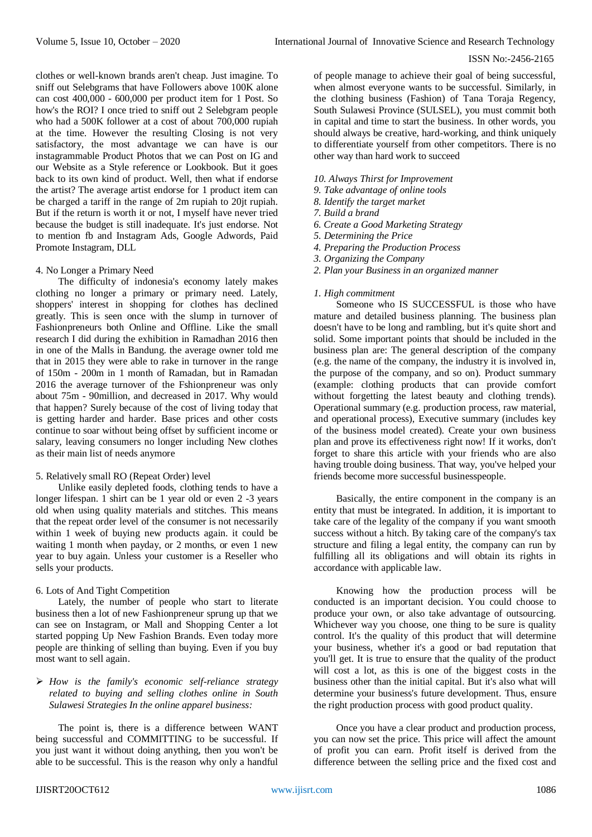clothes or well-known brands aren't cheap. Just imagine. To sniff out Selebgrams that have Followers above 100K alone can cost 400,000 - 600,000 per product item for 1 Post. So how's the ROI? I once tried to sniff out 2 Selebgram people who had a 500K follower at a cost of about 700,000 rupiah at the time. However the resulting Closing is not very satisfactory, the most advantage we can have is our instagrammable Product Photos that we can Post on IG and our Website as a Style reference or Lookbook. But it goes back to its own kind of product. Well, then what if endorse the artist? The average artist endorse for 1 product item can be charged a tariff in the range of 2m rupiah to 20jt rupiah. But if the return is worth it or not, I myself have never tried because the budget is still inadequate. It's just endorse. Not to mention fb and Instagram Ads, Google Adwords, Paid Promote Instagram, DLL

#### 4. No Longer a Primary Need

The difficulty of indonesia's economy lately makes clothing no longer a primary or primary need. Lately, shoppers' interest in shopping for clothes has declined greatly. This is seen once with the slump in turnover of Fashionpreneurs both Online and Offline. Like the small research I did during the exhibition in Ramadhan 2016 then in one of the Malls in Bandung. the average owner told me that in 2015 they were able to rake in turnover in the range of 150m - 200m in 1 month of Ramadan, but in Ramadan 2016 the average turnover of the Fshionpreneur was only about 75m - 90million, and decreased in 2017. Why would that happen? Surely because of the cost of living today that is getting harder and harder. Base prices and other costs continue to soar without being offset by sufficient income or salary, leaving consumers no longer including New clothes as their main list of needs anymore

#### 5. Relatively small RO (Repeat Order) level

Unlike easily depleted foods, clothing tends to have a longer lifespan. 1 shirt can be 1 year old or even 2 -3 years old when using quality materials and stitches. This means that the repeat order level of the consumer is not necessarily within 1 week of buying new products again. it could be waiting 1 month when payday, or 2 months, or even 1 new year to buy again. Unless your customer is a Reseller who sells your products.

#### 6. Lots of And Tight Competition

Lately, the number of people who start to literate business then a lot of new Fashionpreneur sprung up that we can see on Instagram, or Mall and Shopping Center a lot started popping Up New Fashion Brands. Even today more people are thinking of selling than buying. Even if you buy most want to sell again.

# *How is the family's economic self-reliance strategy related to buying and selling clothes online in South Sulawesi Strategies In the online apparel business:*

The point is, there is a difference between WANT being successful and COMMITTING to be successful. If you just want it without doing anything, then you won't be able to be successful. This is the reason why only a handful of people manage to achieve their goal of being successful, when almost everyone wants to be successful. Similarly, in the clothing business (Fashion) of Tana Toraja Regency, South Sulawesi Province (SULSEL), you must commit both in capital and time to start the business. In other words, you should always be creative, hard-working, and think uniquely to differentiate yourself from other competitors. There is no other way than hard work to succeed

# *10. Always Thirst for Improvement*

- *9. Take advantage of online tools*
- *8. Identify the target market*
- *7. Build a brand*
- *6. Create a Good Marketing Strategy*
- *5. Determining the Price*
- *4. Preparing the Production Process*
- *3. Organizing the Company*
- *2. Plan your Business in an organized manner*

#### *1. High commitment*

Someone who IS SUCCESSFUL is those who have mature and detailed business planning. The business plan doesn't have to be long and rambling, but it's quite short and solid. Some important points that should be included in the business plan are: The general description of the company (e.g. the name of the company, the industry it is involved in, the purpose of the company, and so on). Product summary (example: clothing products that can provide comfort without forgetting the latest beauty and clothing trends). Operational summary (e.g. production process, raw material, and operational process), Executive summary (includes key of the business model created). Create your own business plan and prove its effectiveness right now! If it works, don't forget to share this article with your friends who are also having trouble doing business. That way, you've helped your friends become more successful businesspeople.

Basically, the entire component in the company is an entity that must be integrated. In addition, it is important to take care of the legality of the company if you want smooth success without a hitch. By taking care of the company's tax structure and filing a legal entity, the company can run by fulfilling all its obligations and will obtain its rights in accordance with applicable law.

Knowing how the production process will be conducted is an important decision. You could choose to produce your own, or also take advantage of outsourcing. Whichever way you choose, one thing to be sure is quality control. It's the quality of this product that will determine your business, whether it's a good or bad reputation that you'll get. It is true to ensure that the quality of the product will cost a lot, as this is one of the biggest costs in the business other than the initial capital. But it's also what will determine your business's future development. Thus, ensure the right production process with good product quality.

Once you have a clear product and production process, you can now set the price. This price will affect the amount of profit you can earn. Profit itself is derived from the difference between the selling price and the fixed cost and